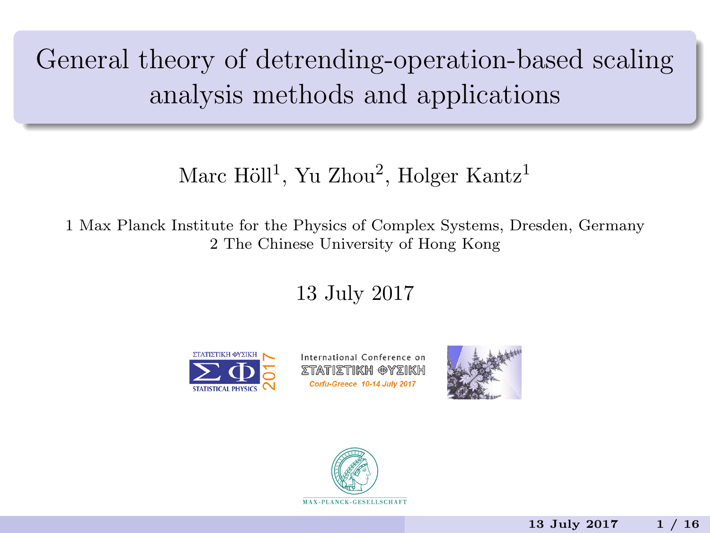General theory of detrending-operation-based scaling analysis methods and applications

### Marc Höll<sup>1</sup>, Yu Zhou<sup>2</sup>, Holger Kantz<sup>1</sup>

1 Max Planck Institute for the Physics of Complex Systems, Dresden, Germany 2 The Chinese University of Hong Kong

13 July 2017



International Conference on ztatiztikh @yzikh Corfu-Greece 10-14 July 2017



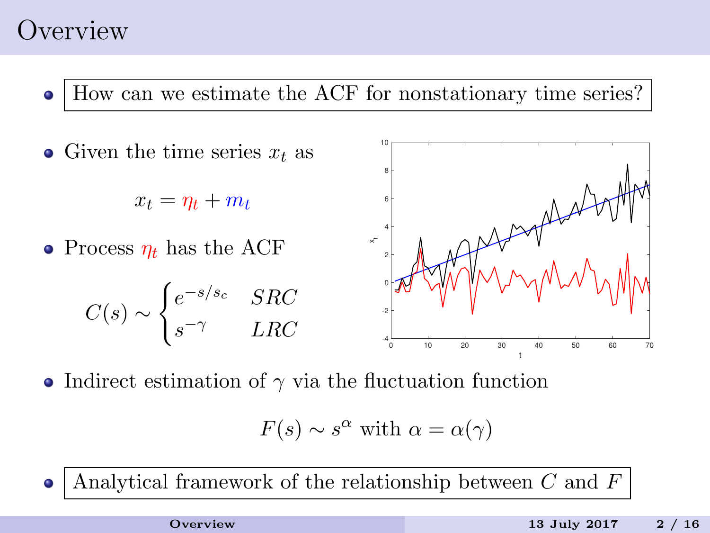## <span id="page-1-0"></span>**Overview**

How can we estimate the ACF for nonstationary time series?  $\bullet$ 



• Indirect estimation of  $\gamma$  via the fluctuation function

$$
F(s) \sim s^{\alpha}
$$
 with  $\alpha = \alpha(\gamma)$ 

Analytical framework of the relationship between C and F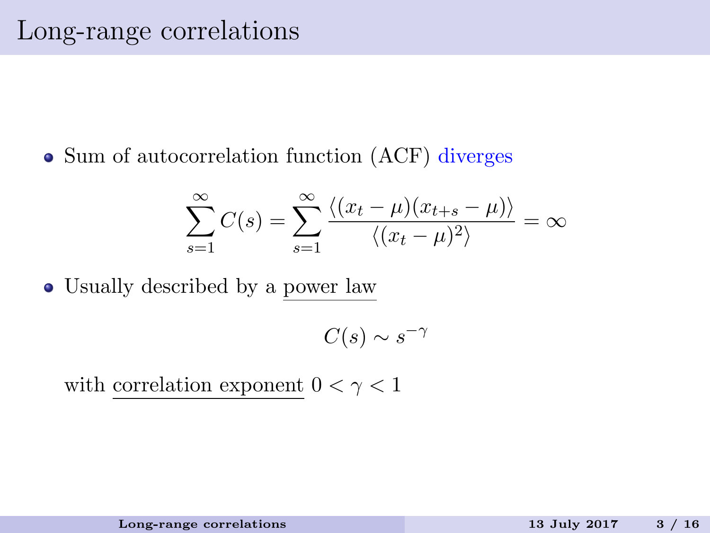<span id="page-2-0"></span>• Sum of autocorrelation function (ACF) diverges

$$
\sum_{s=1}^{\infty} C(s) = \sum_{s=1}^{\infty} \frac{\langle (x_t - \mu)(x_{t+s} - \mu) \rangle}{\langle (x_t - \mu)^2 \rangle} = \infty
$$

Usually described by a power law

$$
C(s) \sim s^{-\gamma}
$$

with correlation exponent  $0 < \gamma < 1$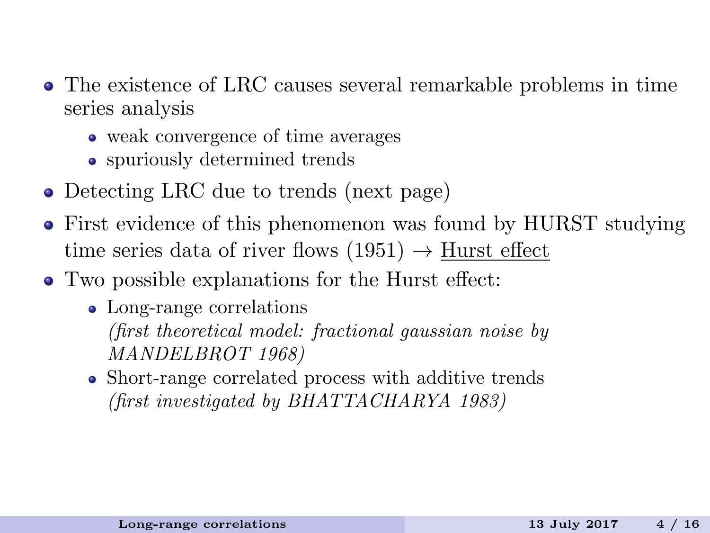- The existence of LRC causes several remarkable problems in time series analysis
	- weak convergence of time averages
	- spuriously determined trends
- Detecting LRC due to trends (next page)
- First evidence of this phenomenon was found by HURST studying time series data of river flows  $(1951) \rightarrow$  Hurst effect
- Two possible explanations for the Hurst effect:
	- Long-range correlations (first theoretical model: fractional gaussian noise by MANDELBROT 1968)
	- Short-range correlated process with additive trends (first investigated by BHATTACHARYA 1983)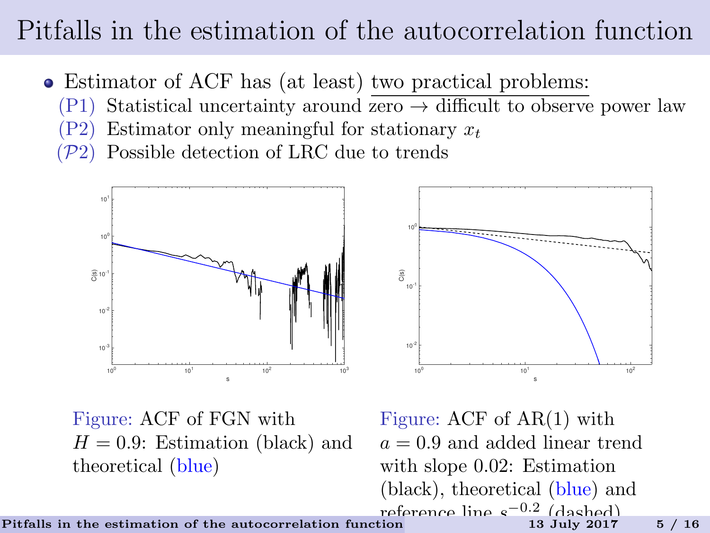# <span id="page-4-0"></span>Pitfalls in the estimation of the autocorrelation function

- Estimator of ACF has (at least) two practical problems:
	- (P1) Statistical uncertainty around  $\overline{zero} \rightarrow$  difficult to observe power law
	- $(P2)$  Estimator only meaningful for stationary  $x_t$
	- $(\mathcal{P}2)$  Possible detection of LRC due to trends





Figure: ACF of FGN with  $H = 0.9$ : Estimation (black) and theoretical (blue)

Figure: ACF of AR(1) with  $a = 0.9$  and added linear trend with slope 0.02: Estimation (black), theoretical (blue) and reference line  $e^{-0.2}$  (dashed)

[Pitfalls in the estimation of the autocorrelation function](#page-4-0) 13 July 2017 5 / 16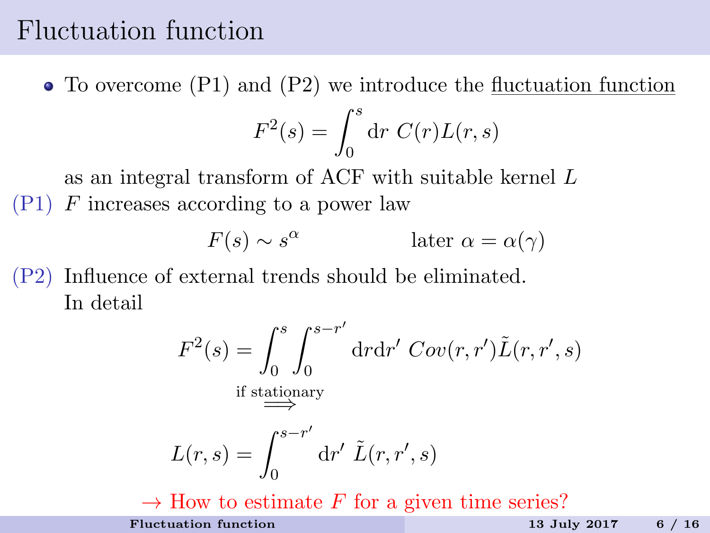## <span id="page-5-0"></span>Fluctuation function

To overcome (P1) and (P2) we introduce the fluctuation function

$$
F^2(s) = \int_0^s \mathrm{d}r \ C(r) L(r, s)
$$

as an integral transform of ACF with suitable kernel L  $(P1)$  F increases according to a power law

$$
F(s) \sim s^{\alpha} \qquad \qquad \text{later } \alpha = \alpha(\gamma)
$$

(P2) Influence of external trends should be eliminated. In detail

$$
F^{2}(s) = \int_{0}^{s} \int_{0}^{s-r'} dr dr' Cov(r, r') \tilde{L}(r, r', s)
$$
  
if stationary  

$$
L(r, s) = \int_{0}^{s-r'} dr' \tilde{L}(r, r', s)
$$

 $\rightarrow$  How to estimate F for a given time series? [Fluctuation function](#page-5-0) 13 July 2017 6 / 16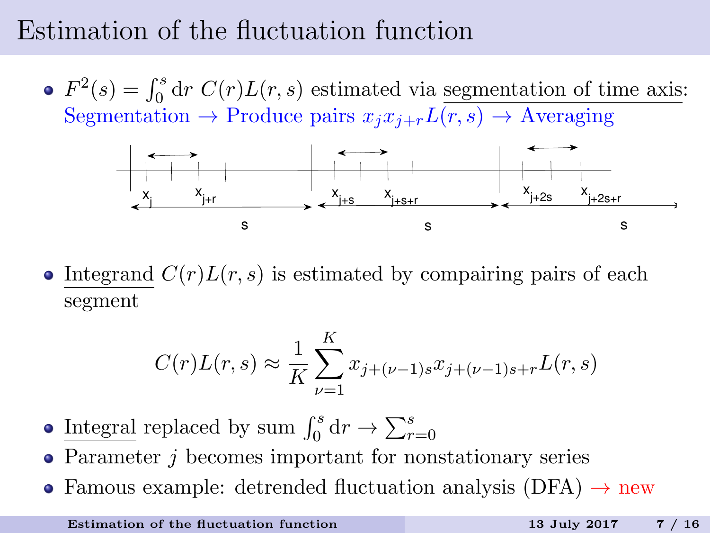# <span id="page-6-0"></span>Estimation of the fluctuation function

 $F^2(s) = \int_0^s dr C(r)L(r, s)$  estimated via segmentation of time axis: Segmentation  $\rightarrow$  Produce pairs  $x_i x_{i+r}L(r, s) \rightarrow$  Averaging



• Integrand  $C(r)L(r, s)$  is estimated by compairing pairs of each segment

$$
C(r)L(r,s) \approx \frac{1}{K}\sum_{\nu=1}^{K} x_{j+(\nu-1)s}x_{j+(\nu-1)s+r}L(r,s)
$$

- Integral replaced by sum  $\int_0^s dr \to \sum_{r=0}^s$
- Parameter *j* becomes important for nonstationary series
- Famous example: detrended fluctuation analysis (DFA)  $\rightarrow$  new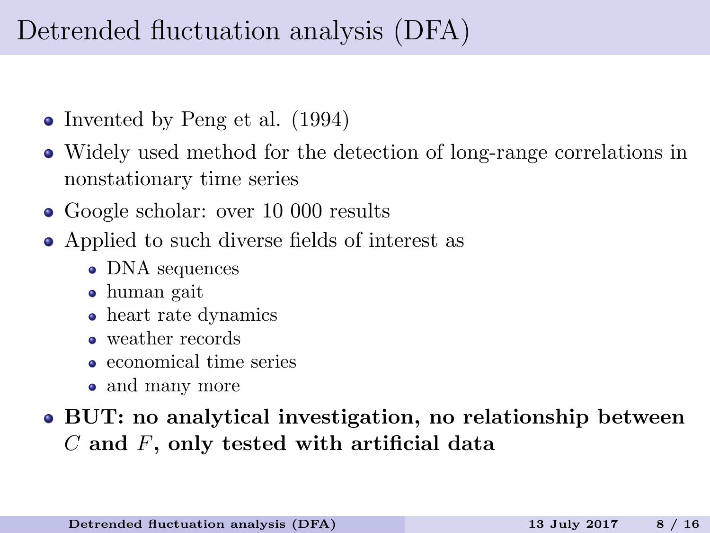# <span id="page-7-0"></span>Detrended fluctuation analysis (DFA)

- Invented by Peng et al. (1994)
- Widely used method for the detection of long-range correlations in nonstationary time series
- Google scholar: over 10 000 results
- Applied to such diverse fields of interest as
	- DNA sequences
	- human gait
	- heart rate dynamics
	- weather records
	- economical time series
	- and many more

#### BUT: no analytical investigation, no relationship between C and F, only tested with artificial data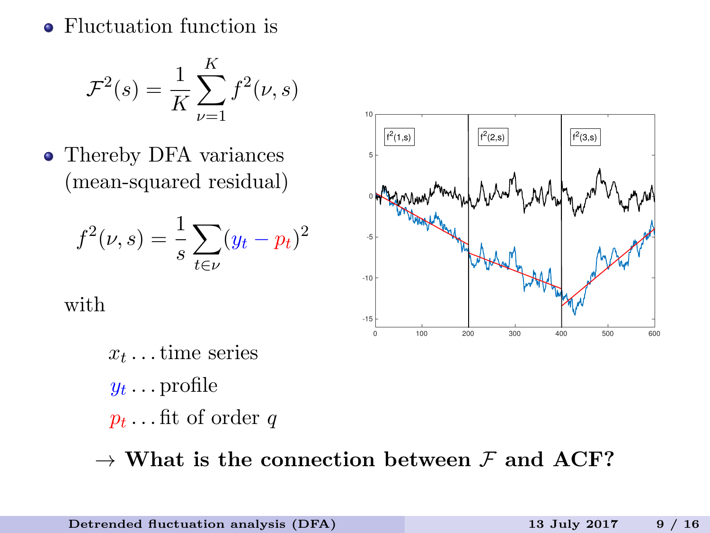• Fluctuation function is

$$
\mathcal{F}^{2}(s) = \frac{1}{K} \sum_{\nu=1}^{K} f^{2}(\nu, s)
$$

• Thereby DFA variances (mean-squared residual)

$$
f^{2}(\nu, s) = \frac{1}{s} \sum_{t \in \nu} (y_t - p_t)^2
$$

with

0 100 200 300 400 500 600 -15 -10 -5 ├  $^{\circ}$ 5  $10$  $f^2(2,s)$  $f^{2}(3,s)$  $f^2(1,s)$   $|f^2(2,s)|$   $|f^2(3,s)|$  $f^2(1,s)$ 

 $x_t \dots$  time series  $y_t \ldots$  profile  $p_t \dots$  fit of order  $q$ 

 $\rightarrow$  What is the connection between F and ACF?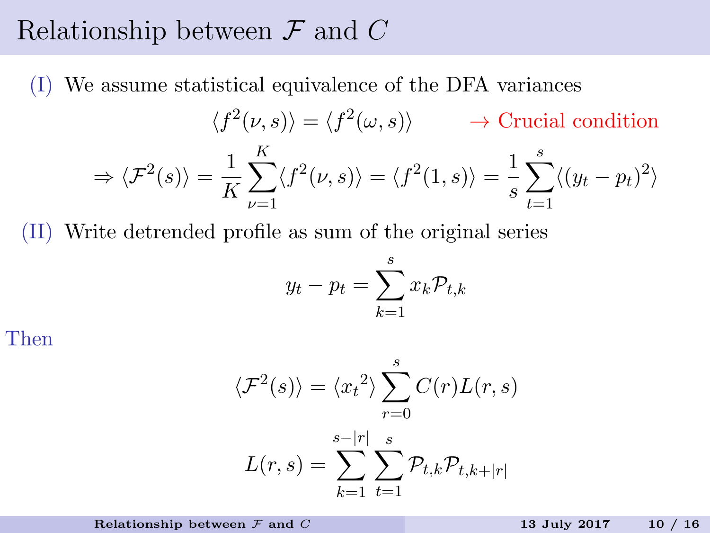## <span id="page-9-0"></span>Relationship between  $\mathcal F$  and  $C$

(I) We assume statistical equivalence of the DFA variances

$$
\langle f^2(\nu, s) \rangle = \langle f^2(\omega, s) \rangle \longrightarrow \text{Crucial condition}
$$

$$
\Rightarrow \langle \mathcal{F}^2(s) \rangle = \frac{1}{K} \sum_{\nu=1}^K \langle f^2(\nu, s) \rangle = \langle f^2(1, s) \rangle = \frac{1}{s} \sum_{t=1}^s \langle (y_t - p_t)^2 \rangle
$$

(II) Write detrended profile as sum of the original series

$$
y_t - p_t = \sum_{k=1}^s x_k \mathcal{P}_{t,k}
$$

Then

$$
\langle \mathcal{F}^2(s) \rangle = \langle x_t^2 \rangle \sum_{r=0}^s C(r) L(r, s)
$$

$$
L(r, s) = \sum_{k=1}^{s-|r|} \sum_{t=1}^s \mathcal{P}_{t,k} \mathcal{P}_{t,k+|r|}
$$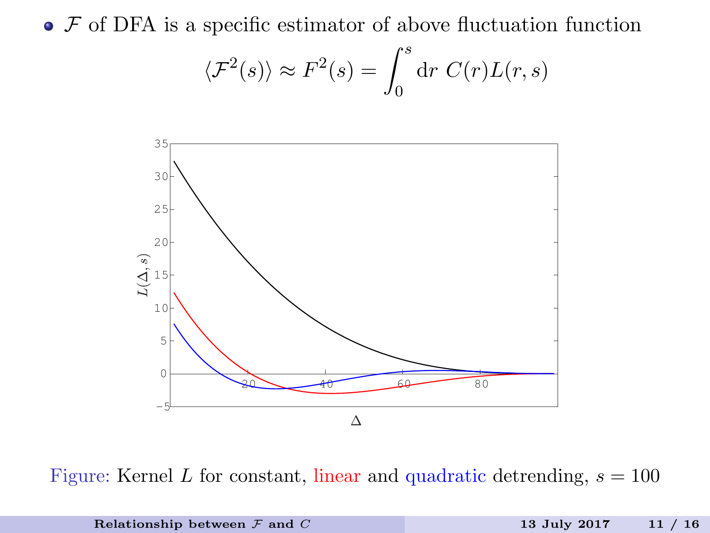$\bullet$   $\mathcal F$  of DFA is a specific estimator of above fluctuation function

$$
\langle \mathcal{F}^2(s) \rangle \approx F^2(s) = \int_0^s dr \ C(r) L(r, s)
$$



Figure: Kernel L for constant, linear and quadratic detrending,  $s = 100$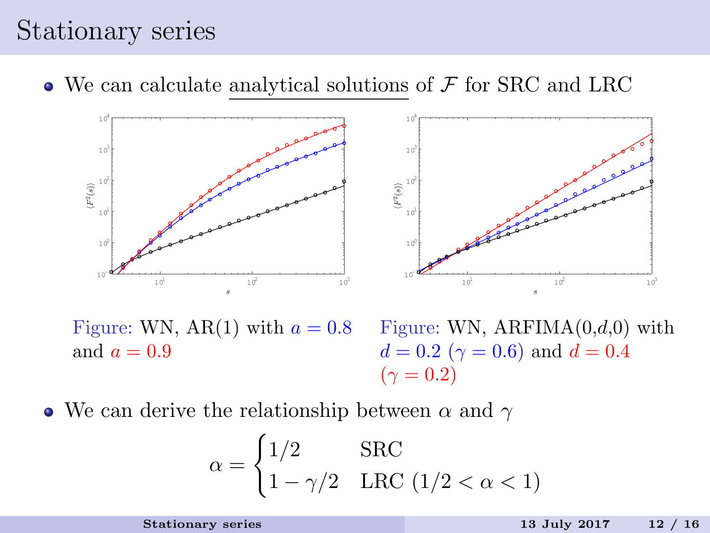## <span id="page-11-0"></span>Stationary series

 $\bullet$  We can calculate analytical solutions of  $\mathcal F$  for SRC and LRC



Figure: WN, AR(1) with  $a = 0.8$ and  $a = 0.9$ 



• We can derive the relationship between  $\alpha$  and  $\gamma$ 

$$
\alpha = \begin{cases} 1/2 & \text{SRC} \\ 1 - \gamma/2 & \text{LRC } (1/2 < \alpha < 1) \end{cases}
$$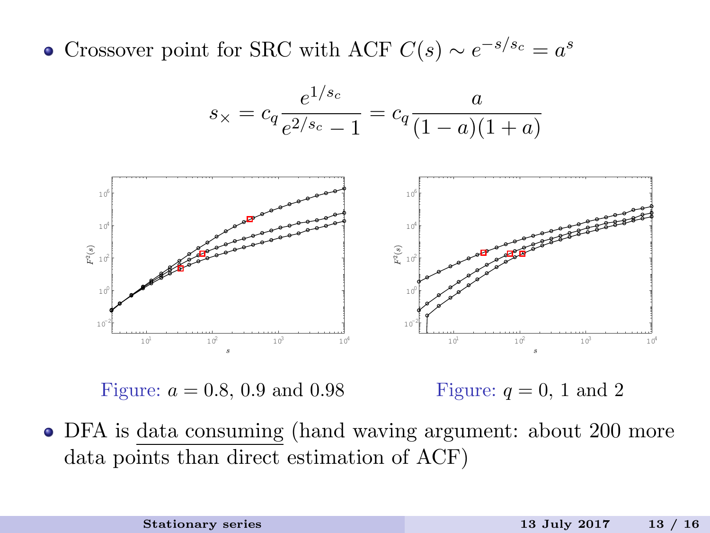Crossover point for SRC with ACF  $C(s) \sim e^{-s/s_c} = a^s$ 





Figure:  $a = 0.8, 0.9$  and 0.98

Figure:  $q = 0, 1$  and 2

DFA is data consuming (hand waving argument: about 200 more data points than direct estimation of ACF)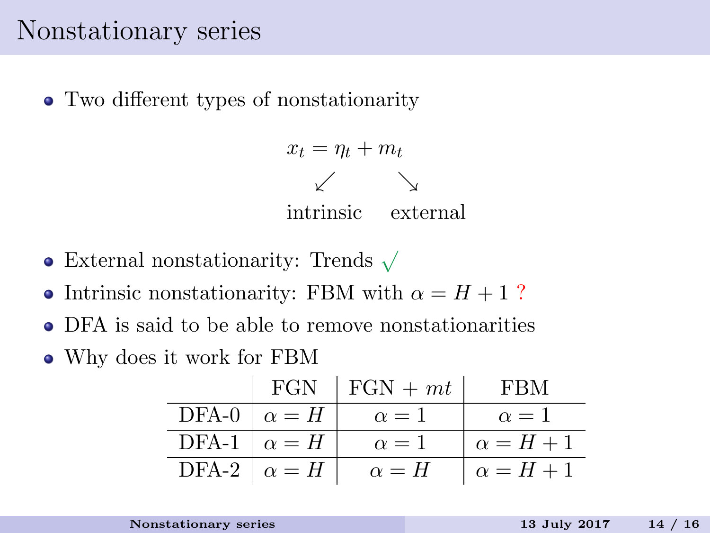## <span id="page-13-0"></span>Nonstationary series

Two different types of nonstationarity

 $x_t = \eta_t + m_t$  $\sqrt{ }$ intrinsic external

- External nonstationarity: Trends <sup>√</sup>
- Intrinsic nonstationarity: FBM with  $\alpha = H + 1$ ?
- DFA is said to be able to remove nonstationarities
- Why does it work for FBM

|                    | FGN $\mid$ FGN + mt | <b>FBM</b>       |
|--------------------|---------------------|------------------|
| DFA-0 $\alpha = H$ | $\alpha = 1$        | $\alpha = 1$     |
| DFA-1 $\alpha = H$ | $\alpha=1$          | $\alpha = H + 1$ |
| DFA-2 $\alpha = H$ | $\alpha = H$        | $\alpha = H + 1$ |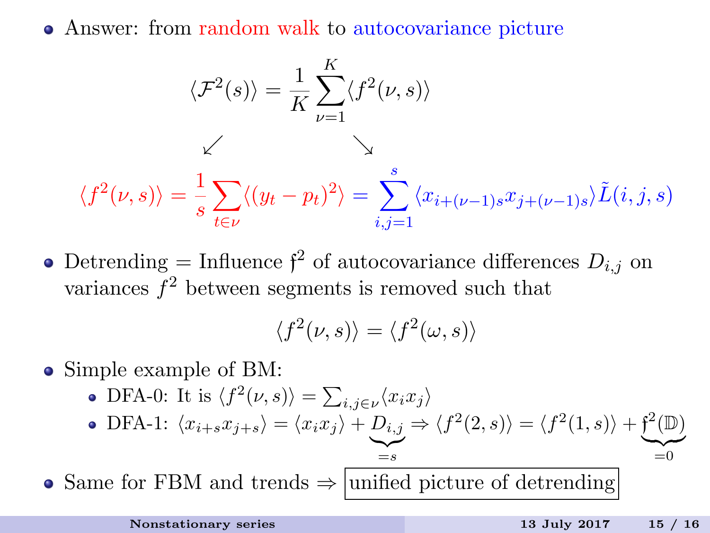Answer: from random walk to autocovariance picture

$$
\langle \mathcal{F}^2(s) \rangle = \frac{1}{K} \sum_{\nu=1}^K \langle f^2(\nu, s) \rangle
$$

$$
\langle f^2(\nu, s) \rangle = \frac{1}{s} \sum_{t \in \nu} \langle (y_t - p_t)^2 \rangle = \sum_{i,j=1}^s \langle x_{i+(\nu-1)s} x_{j+(\nu-1)s} \rangle \tilde{L}(i, j, s)
$$

Detrending = Influence  $\mathfrak{f}^2$  of autocovariance differences  $D_{i,j}$  on variances  $f^2$  between segments is removed such that

$$
\langle f^2(\nu, s) \rangle = \langle f^2(\omega, s) \rangle
$$

- Simple example of BM:
	- DFA-0: It is  $\langle f^2(\nu, s) \rangle = \sum_{i,j \in \nu} \langle x_i x_j \rangle$
	- DFA-1:  $\langle x_{i+s}x_{j+s} \rangle = \langle x_ix_j \rangle + D_{i,j}$  $\sum_{i=s}$  $=$ s  $\Rightarrow \langle f^2(2, s) \rangle = \langle f^2(1, s) \rangle + \mathfrak{f}^2(\mathbb{D})$  $\equiv 0$

• Same for FBM and trends  $\Rightarrow$  unified picture of detrending

=0